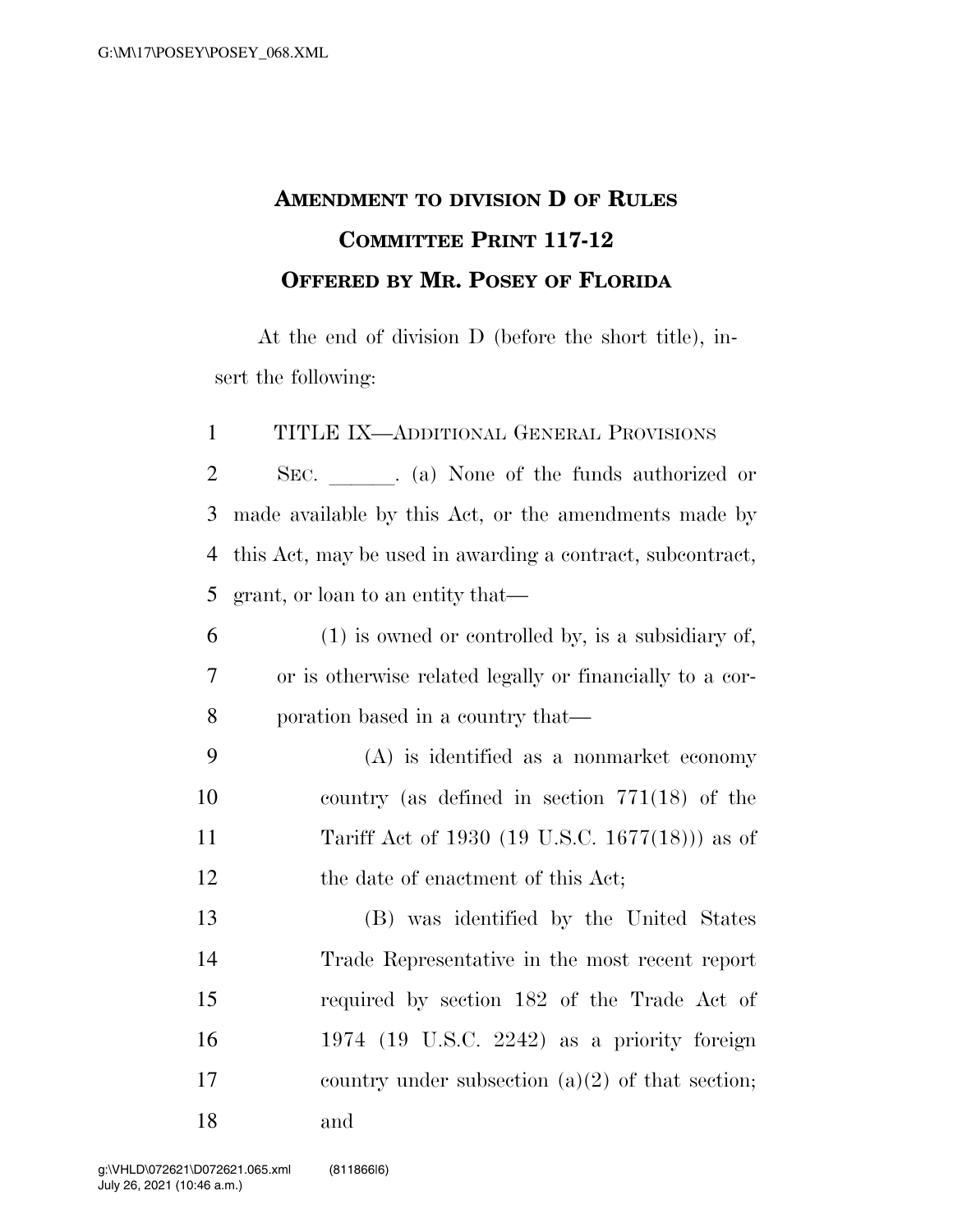## **AMENDMENT TO DIVISION D OF RULES COMMITTEE PRINT 117-12 OFFERED BY MR. POSEY OF FLORIDA**

At the end of division D (before the short title), insert the following:

TITLE IX—ADDITIONAL GENERAL PROVISIONS

2 SEC. (a) None of the funds authorized or made available by this Act, or the amendments made by this Act, may be used in awarding a contract, subcontract, grant, or loan to an entity that—

- (1) is owned or controlled by, is a subsidiary of, or is otherwise related legally or financially to a cor-poration based in a country that—
- (A) is identified as a nonmarket economy country (as defined in section 771(18) of the Tariff Act of 1930 (19 U.S.C. 1677(18))) as of 12 the date of enactment of this Act;

 (B) was identified by the United States Trade Representative in the most recent report required by section 182 of the Trade Act of 1974 (19 U.S.C. 2242) as a priority foreign country under subsection (a)(2) of that section; and